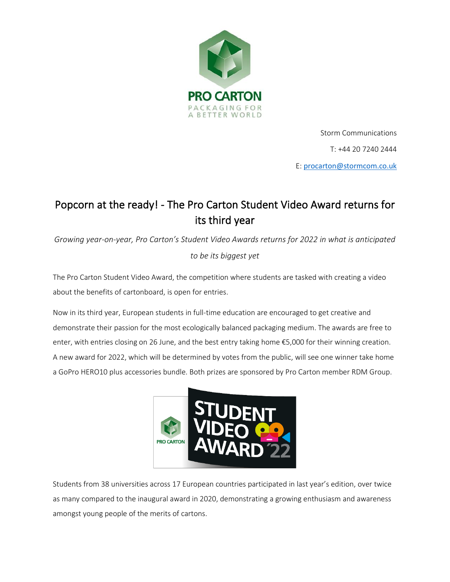

Storm Communications T: +44 20 7240 2444 E: [procarton@stormcom.co.uk](mailto:procarton@stormcom.co.uk)

# Popcorn at the ready! - The Pro Carton Student Video Award returns for its third year

*Growing year-on-year, Pro Carton's Student Video Awards returns for 2022 in what is anticipated to be its biggest yet*

The Pro Carton Student Video Award, the competition where students are tasked with creating a video about the benefits of cartonboard, is open for entries.

Now in its third year, European students in full-time education are encouraged to get creative and demonstrate their passion for the most ecologically balanced packaging medium. The awards are free to enter, with entries closing on 26 June, and the best entry taking home €5,000 for their winning creation. A new award for 2022, which will be determined by votes from the public, will see one winner take home a GoPro HERO10 plus accessories bundle. Both prizes are sponsored by Pro Carton member RDM Group.



Students from 38 universities across 17 European countries participated in last year's edition, over twice as many compared to the inaugural award in 2020, demonstrating a growing enthusiasm and awareness amongst young people of the merits of cartons.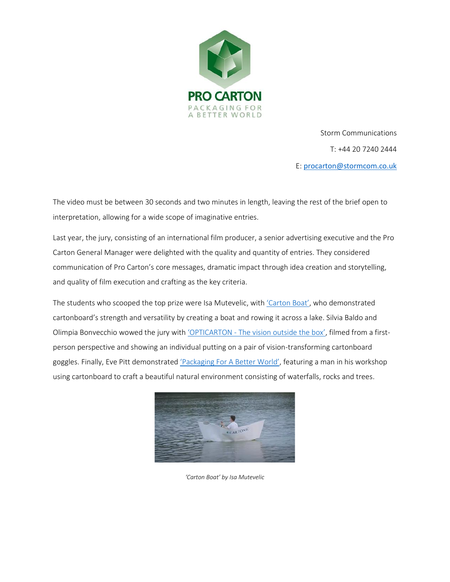

Storm Communications T: +44 20 7240 2444 E: [procarton@stormcom.co.uk](mailto:procarton@stormcom.co.uk)

The video must be between 30 seconds and two minutes in length, leaving the rest of the brief open to interpretation, allowing for a wide scope of imaginative entries.

Last year, the jury, consisting of an international film producer, a senior advertising executive and the Pro Carton General Manager were delighted with the quality and quantity of entries. They considered communication of Pro Carton's core messages, dramatic impact through idea creation and storytelling, and quality of film execution and crafting as the key criteria.

The students who scooped the top prize were Isa Mutevelic, with ['Carton Boat'](https://www.youtube.com/watch?v=RUgwRl0_JL0), who demonstrated cartonboard's strength and versatility by creating a boat and rowing it across a lake. Silvia Baldo and Olimpia Bonvecchio wowed the jury with 'OPTICARTON - [The vision outside the box'](https://www.youtube.com/watch?v=EwroWhBS7t8), filmed from a firstperson perspective and showing an individual putting on a pair of vision-transforming cartonboard goggles. Finally, Eve Pitt demonstrated ['Packaging For A Better World'](https://www.youtube.com/watch?v=7_Myu9USeaI), featuring a man in his workshop using cartonboard to craft a beautiful natural environment consisting of waterfalls, rocks and trees.



*'Carton Boat' by Isa Mutevelic*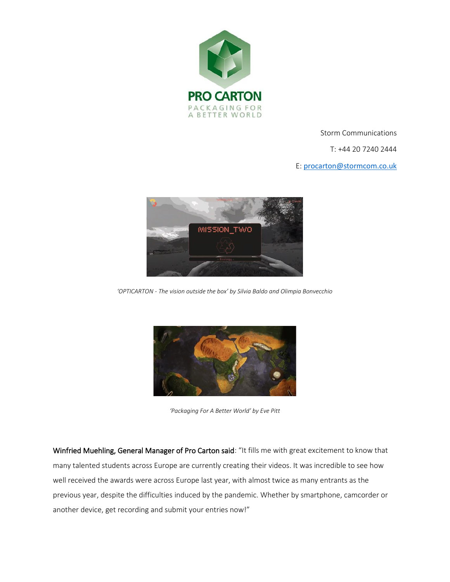

Storm Communications

T: +44 20 7240 2444

E: [procarton@stormcom.co.uk](mailto:procarton@stormcom.co.uk)



*'OPTICARTON - The vision outside the box' by Silvia Baldo and Olimpia Bonvecchio*



*'Packaging For A Better World' by Eve Pitt*

Winfried Muehling, General Manager of Pro Carton said: "It fills me with great excitement to know that many talented students across Europe are currently creating their videos. It was incredible to see how well received the awards were across Europe last year, with almost twice as many entrants as the previous year, despite the difficulties induced by the pandemic. Whether by smartphone, camcorder or another device, get recording and submit your entries now!"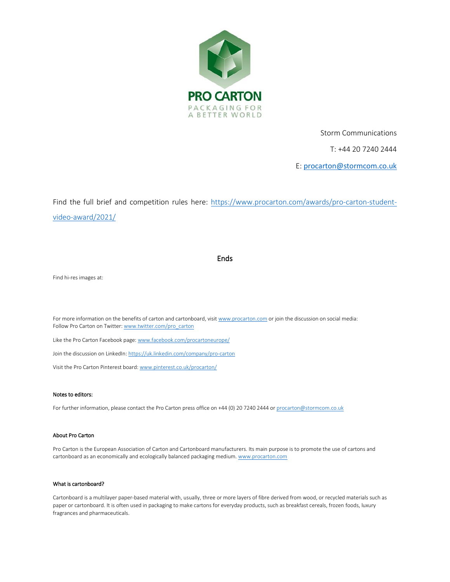

Storm Communications

T: +44 20 7240 2444

E: [procarton@stormcom.co.uk](mailto:procarton@stormcom.co.uk)

Find the full brief and competition rules here: [https://www.procarton.com/awards/pro-carton-student](https://www.procarton.com/awards/pro-carton-student-video-award/2021/)[video-award/2021/](https://www.procarton.com/awards/pro-carton-student-video-award/2021/)

### **Ends**

Find hi-res images at:

For more information on the benefits of carton and cartonboard, visi[t www.procarton.com](http://www.procarton.com/) or join the discussion on social media: Follow Pro Carton on Twitter[: www.twitter.com/pro\\_carton](http://www.twitter.com/pro_carton)

Like the Pro Carton Facebook page[: www.facebook.com/procartoneurope/](https://www.facebook.com/procartoneurope/)

Join the discussion on LinkedIn[: https://uk.linkedin.com/company/pro-carton](https://uk.linkedin.com/company/pro-carton)

Visit the Pro Carton Pinterest board[: www.pinterest.co.uk/procarton/](https://www.pinterest.co.uk/procarton/)

#### Notes to editors:

For further information, please contact the Pro Carton press office on +44 (0) 20 7240 2444 o[r procarton@stormcom.co.uk](mailto:procarton@stormcom.co.uk)

#### About Pro Carton

Pro Carton is the European Association of Carton and Cartonboard manufacturers. Its main purpose is to promote the use of cartons and cartonboard as an economically and ecologically balanced packaging medium. www.procarton.com

#### What is cartonboard?

Cartonboard is a multilayer paper-based material with, usually, three or more layers of fibre derived from wood, or recycled materials such as paper or cartonboard. It is often used in packaging to make cartons for everyday products, such as breakfast cereals, frozen foods, luxury fragrances and pharmaceuticals.